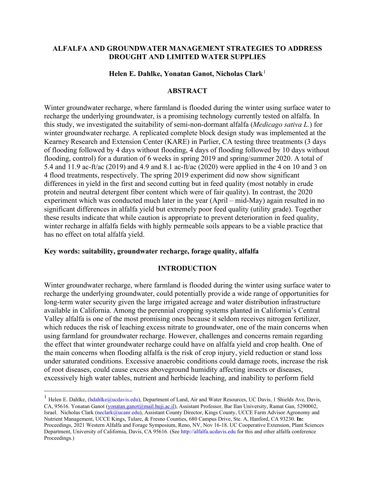### **ALFALFA AND GROUNDWATER MANAGEMENT STRATEGIES TO ADDRESS DROUGHT AND LIMITED WATER SUPPLIES**

#### **Helen E. Dahlke, Yonatan Ganot, Nicholas Clark**[1](#page-0-0)

## **ABSTRACT**

Winter groundwater recharge, where farmland is flooded during the winter using surface water to recharge the underlying groundwater, is a promising technology currently tested on alfalfa. In this study, we investigated the suitability of semi-non-dormant alfalfa (*Medicago sativa L.*) for winter groundwater recharge. A replicated complete block design study was implemented at the Kearney Research and Extension Center (KARE) in Parlier, CA testing three treatments (3 days of flooding followed by 4 days without flooding, 4 days of flooding followed by 10 days without flooding, control) for a duration of 6 weeks in spring 2019 and spring/summer 2020. A total of 5.4 and 11.9 ac-ft/ac (2019) and 4.9 and 8.1 ac-ft/ac (2020) were applied in the 4 on 10 and 3 on 4 flood treatments, respectively. The spring 2019 experiment did now show significant differences in yield in the first and second cutting but in feed quality (most notably in crude protein and neutral detergent fiber content which were of fair quality). In contrast, the 2020 experiment which was conducted much later in the year (April – mid-May) again resulted in no significant differences in alfalfa yield but extremely poor feed quality (utility grade). Together these results indicate that while caution is appropriate to prevent deterioration in feed quality, winter recharge in alfalfa fields with highly permeable soils appears to be a viable practice that has no effect on total alfalfa yield.

### **Key words: suitability, groundwater recharge, forage quality, alfalfa**

### **INTRODUCTION**

Winter groundwater recharge, where farmland is flooded during the winter using surface water to recharge the underlying groundwater, could potentially provide a wide range of opportunities for long-term water security given the large irrigated acreage and water distribution infrastructure available in California. Among the perennial cropping systems planted in California's Central Valley alfalfa is one of the most promising ones because it seldom receives nitrogen fertilizer, which reduces the risk of leaching excess nitrate to groundwater, one of the main concerns when using farmland for groundwater recharge. However, challenges and concerns remain regarding the effect that winter groundwater recharge could have on alfalfa yield and crop health. One of the main concerns when flooding alfalfa is the risk of crop injury, yield reduction or stand loss under saturated conditions. Excessive anaerobic conditions could damage roots, increase the risk of root diseases, could cause excess aboveground humidity affecting insects or diseases, excessively high water tables, nutrient and herbicide leaching, and inability to perform field

<span id="page-0-0"></span><sup>&</sup>lt;sup>1</sup> Helen E. Dahlke, (hdahlke@ucdavis.edu), Department of Land, Air and Water Resources, UC Davis, 1 Shields Ave, Davis, CA, 95616. Yonatan Ganot [\(yonatan.ganot@mail.huji.ac.il\)](mailto:yonatan.ganot@mail.huji.ac.il), Assistant Professor, Bar Ilan University, Ramat Gan, 5290002, Israel. Nicholas Clark (neclark@ucanr.edu), Assistant County Director, Kings County, UCCE Farm Advisor Agronomy and Nutrient Management, UCCE Kings, Tulare, & Fresno Counties, 680 Campus Drive, Ste. A, Hanford, CA 93230. **In:** Proceedings, 2021 Western Alfalfa and Forage Symposium, Reno, NV, Nov 16-18. UC Cooperative Extension, Plant Sciences Department, University of California, Davis, CA 95616. (See http://alfalfa.ucdavis.edu for this and other alfalfa conference Proceedings.)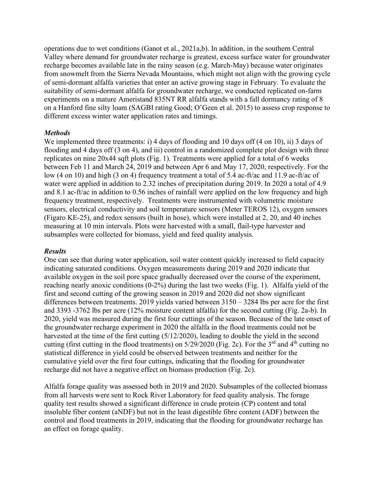operations due to wet conditions (Ganot et al., 2021a,b). In addition, in the southern Central Valley where demand for groundwater recharge is greatest, excess surface water for groundwater recharge becomes available late in the rainy season (e.g. March-May) because water originates from snowmelt from the Sierra Nevada Mountains, which might not align with the growing cycle of semi-dormant alfalfa varieties that enter an active growing stage in February. To evaluate the suitability of semi-dormant alfalfa for groundwater recharge, we conducted replicated on-farm experiments on a mature Ameristand 835NT RR alfalfa stands with a fall dormancy rating of 8 on a Hanford fine silty loam (SAGBI rating Good; O'Geen et al. 2015) to assess crop response to different excess winter water application rates and timings.

## *Methods*

We implemented three treatments: i) 4 days of flooding and 10 days of  $(4 \text{ on } 10)$ , ii) 3 days of flooding and 4 days off (3 on 4), and iii) control in a randomized complete plot design with three replicates on nine 20x44 sqft plots (Fig. 1). Treatments were applied for a total of 6 weeks between Feb 11 and March 24, 2019 and between Apr 6 and May 17, 2020, respectively. For the low (4 on 10) and high (3 on 4) frequency treatment a total of 5.4 ac-ft/ac and 11.9 ac-ft/ac of water were applied in addition to 2.32 inches of precipitation during 2019. In 2020 a total of 4.9 and 8.1 ac-ft/ac in addition to 0.56 inches of rainfall were applied on the low frequency and high frequency treatment, respectively. Treatments were instrumented with volumetric moisture sensors, electrical conductivity and soil temperature sensors (Meter TEROS 12), oxygen sensors (Figaro KE-25), and redox sensors (built in hose), which were installed at 2, 20, and 40 inches measuring at 10 min intervals. Plots were harvested with a small, flail-type harvester and subsamples were collected for biomass, yield and feed quality analysis.

# *Results*

One can see that during water application, soil water content quickly increased to field capacity indicating saturated conditions. Oxygen measurements during 2019 and 2020 indicate that available oxygen in the soil pore space gradually decreased over the course of the experiment, reaching nearly anoxic conditions (0-2%) during the last two weeks (Fig. 1). Alfalfa yield of the first and second cutting of the growing season in 2019 and 2020 did not show significant differences between treatments. 2019 yields varied between 3150 – 3284 lbs per acre for the first and 3393 -3762 lbs per acre (12% moisture content alfalfa) for the second cutting (Fig. 2a-b). In 2020, yield was measured during the first four cuttings of the season. Because of the late onset of the groundwater recharge experiment in 2020 the alfalfa in the flood treatments could not be harvested at the time of the first cutting (5/12/2020), leading to double the yield in the second cutting (first cutting in the flood treatments) on  $5/29/2020$  (Fig. 2c). For the 3<sup>rd</sup> and 4<sup>th</sup> cutting no statistical difference in yield could be observed between treatments and neither for the cumulative yield over the first four cuttings, indicating that the flooding for groundwater recharge did not have a negative effect on biomass production (Fig. 2c).

Alfalfa forage quality was assessed both in 2019 and 2020. Subsamples of the collected biomass from all harvests were sent to Rock River Laboratory for feed quality analysis. The forage quality test results showed a significant difference in crude protein (CP) content and total insoluble fiber content (aNDF) but not in the least digestible fibre content (ADF) between the control and flood treatments in 2019, indicating that the flooding for groundwater recharge has an effect on forage quality.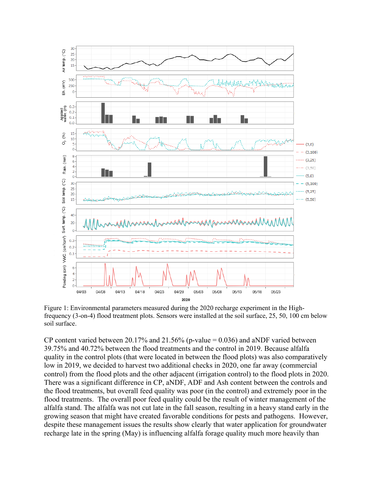

Figure 1: Environmental parameters measured during the 2020 recharge experiment in the Highfrequency (3-on-4) flood treatment plots. Sensors were installed at the soil surface, 25, 50, 100 cm below soil surface.

CP content varied between 20.17% and 21.56% (p-value =  $0.036$ ) and aNDF varied between 39.75% and 40.72% between the flood treatments and the control in 2019. Because alfalfa quality in the control plots (that were located in between the flood plots) was also comparatively low in 2019, we decided to harvest two additional checks in 2020, one far away (commercial control) from the flood plots and the other adjacent (irrigation control) to the flood plots in 2020. There was a significant difference in CP, aNDF, ADF and Ash content between the controls and the flood treatments, but overall feed quality was poor (in the control) and extremely poor in the flood treatments. The overall poor feed quality could be the result of winter management of the alfalfa stand. The alfalfa was not cut late in the fall season, resulting in a heavy stand early in the growing season that might have created favorable conditions for pests and pathogens. However, despite these management issues the results show clearly that water application for groundwater recharge late in the spring (May) is influencing alfalfa forage quality much more heavily than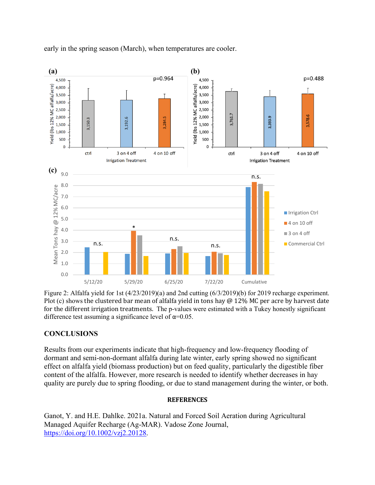

early in the spring season (March), when temperatures are cooler.

Figure 2: Alfalfa yield for 1st (4/23/2019)(a) and 2nd cutting (6/3/2019)(b) for 2019 recharge experiment. Plot (c) shows the clustered bar mean of alfalfa yield in tons hay @ 12% MC per acre by harvest date for the different irrigation treatments. The p-values were estimated with a Tukey honestly significant difference test assuming a significance level of  $\alpha$ =0.05.

# **CONCLUSIONS**

Results from our experiments indicate that high-frequency and low-frequency flooding of dormant and semi-non-dormant alfalfa during late winter, early spring showed no significant effect on alfalfa yield (biomass production) but on feed quality, particularly the digestible fiber content of the alfalfa. However, more research is needed to identify whether decreases in hay quality are purely due to spring flooding, or due to stand management during the winter, or both.

#### **REFERENCES**

Ganot, Y. and H.E. Dahlke. 2021a. Natural and Forced Soil Aeration during Agricultural Managed Aquifer Recharge (Ag-MAR). Vadose Zone Journal, [https://doi.org/10.1002/vzj2.20128.](https://doi.org/10.1002/vzj2.20128)